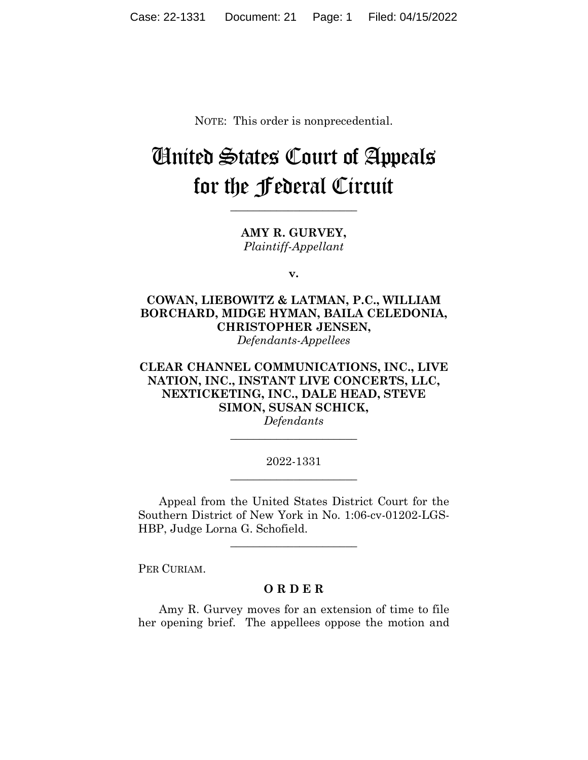NOTE: This order is nonprecedential.

## United States Court of Appeals for the Federal Circuit

**AMY R. GURVEY,** *Plaintiff-Appellant*

**\_\_\_\_\_\_\_\_\_\_\_\_\_\_\_\_\_\_\_\_\_\_**

**v.**

**COWAN, LIEBOWITZ & LATMAN, P.C., WILLIAM BORCHARD, MIDGE HYMAN, BAILA CELEDONIA, CHRISTOPHER JENSEN,**

*Defendants-Appellees*

**CLEAR CHANNEL COMMUNICATIONS, INC., LIVE NATION, INC., INSTANT LIVE CONCERTS, LLC, NEXTICKETING, INC., DALE HEAD, STEVE SIMON, SUSAN SCHICK,**

*Defendants* **\_\_\_\_\_\_\_\_\_\_\_\_\_\_\_\_\_\_\_\_\_\_**

## 2022-1331 **\_\_\_\_\_\_\_\_\_\_\_\_\_\_\_\_\_\_\_\_\_\_**

Appeal from the United States District Court for the Southern District of New York in No. 1:06-cv-01202-LGS-HBP, Judge Lorna G. Schofield.

**\_\_\_\_\_\_\_\_\_\_\_\_\_\_\_\_\_\_\_\_\_\_**

PER CURIAM.

## **O R D E R**

Amy R. Gurvey moves for an extension of time to file her opening brief. The appellees oppose the motion and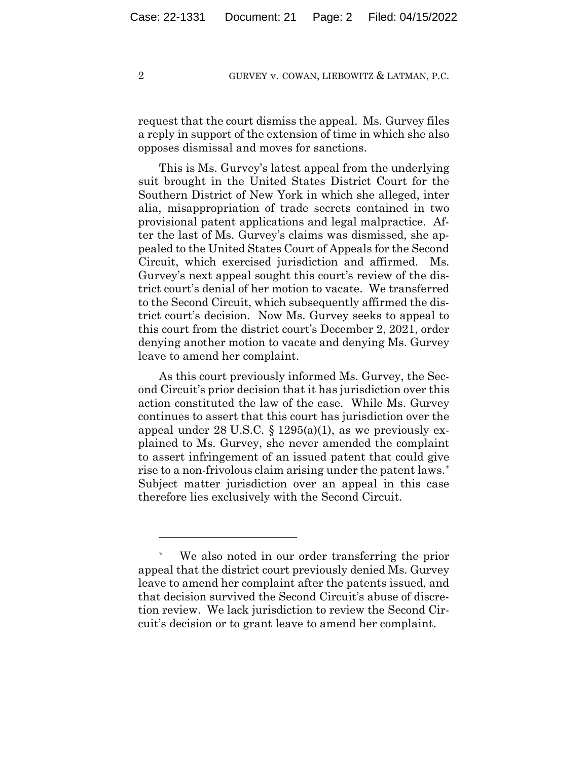## 2 GURVEY v. COWAN, LIEBOWITZ & LATMAN, P.C.

request that the court dismiss the appeal. Ms. Gurvey files a reply in support of the extension of time in which she also opposes dismissal and moves for sanctions.

This is Ms. Gurvey's latest appeal from the underlying suit brought in the United States District Court for the Southern District of New York in which she alleged, inter alia, misappropriation of trade secrets contained in two provisional patent applications and legal malpractice. After the last of Ms. Gurvey's claims was dismissed, she appealed to the United States Court of Appeals for the Second Circuit, which exercised jurisdiction and affirmed. Ms. Gurvey's next appeal sought this court's review of the district court's denial of her motion to vacate. We transferred to the Second Circuit, which subsequently affirmed the district court's decision. Now Ms. Gurvey seeks to appeal to this court from the district court's December 2, 2021, order denying another motion to vacate and denying Ms. Gurvey leave to amend her complaint.

As this court previously informed Ms. Gurvey, the Second Circuit's prior decision that it has jurisdiction over this action constituted the law of the case. While Ms. Gurvey continues to assert that this court has jurisdiction over the appeal under 28 U.S.C.  $\S 1295(a)(1)$ , as we previously explained to Ms. Gurvey, she never amended the complaint to assert infringement of an issued patent that could give rise to a non-frivolous claim arising under the patent laws.\* Subject matter jurisdiction over an appeal in this case therefore lies exclusively with the Second Circuit.

<sup>\*</sup> We also noted in our order transferring the prior appeal that the district court previously denied Ms. Gurvey leave to amend her complaint after the patents issued, and that decision survived the Second Circuit's abuse of discretion review. We lack jurisdiction to review the Second Circuit's decision or to grant leave to amend her complaint.